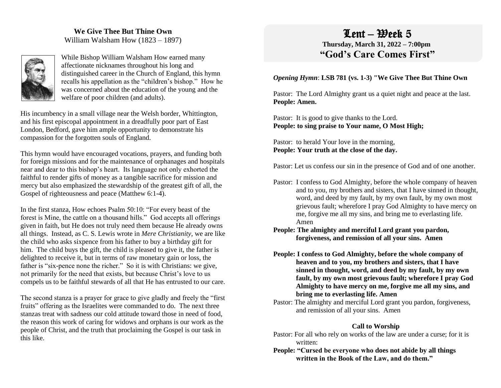## **We Give Thee But Thine Own** William Walsham How (1823 – 1897)



While Bishop William Walsham How earned many affectionate nicknames throughout his long and distinguished career in the Church of England, this hymn recalls his appellation as the "children's bishop." How he was concerned about the education of the young and the welfare of poor children (and adults).

His incumbency in a small village near the Welsh border, Whittington, and his first episcopal appointment in a dreadfully poor part of East London, Bedford, gave him ample opportunity to demonstrate his compassion for the forgotten souls of England.

This hymn would have encouraged vocations, prayers, and funding both for foreign missions and for the maintenance of orphanages and hospitals near and dear to this bishop's heart. Its language not only exhorted the faithful to render gifts of money as a tangible sacrifice for mission and mercy but also emphasized the stewardship of the greatest gift of all, the Gospel of righteousness and peace (Matthew 6:1-4).

In the first stanza, How echoes Psalm 50:10: "For every beast of the forest is Mine, the cattle on a thousand hills." God accepts all offerings given in faith, but He does not truly need them because He already owns all things. Instead, as C. S. Lewis wrote in *Mere Christianity*, we are like the child who asks sixpence from his father to buy a birthday gift for him. The child buys the gift, the child is pleased to give it, the father is delighted to receive it, but in terms of raw monetary gain or loss, the father is "six-pence none the richer." So it is with Christians: we give, not primarily for the need that exists, but because Christ's love to us compels us to be faithful stewards of all that He has entrusted to our care.

The second stanza is a prayer for grace to give gladly and freely the "first fruits" offering as the Israelites were commanded to do. The next three stanzas treat with sadness our cold attitude toward those in need of food, the reason this work of caring for widows and orphans is our work as the people of Christ, and the truth that proclaiming the Gospel is our task in this like.

# $Lent - Beek 5$

 **Thursday, March 31, 2022 – 7:00pm "God's Care Comes First"**

#### *Opening Hymn*: **LSB 781 (vs. 1-3) "We Give Thee But Thine Own**

Pastor: The Lord Almighty grant us a quiet night and peace at the last. **People: Amen.**

Pastor: It is good to give thanks to the Lord. **People: to sing praise to Your name, O Most High;**

Pastor: to herald Your love in the morning, **People: Your truth at the close of the day.** 

Pastor: Let us confess our sin in the presence of God and of one another.

- Pastor: I confess to God Almighty, before the whole company of heaven and to you, my brothers and sisters, that I have sinned in thought, word, and deed by my fault, by my own fault, by my own most grievous fault; wherefore I pray God Almighty to have mercy on me, forgive me all my sins, and bring me to everlasting life. Amen
- **People: The almighty and merciful Lord grant you pardon, forgiveness, and remission of all your sins. Amen**
- **People: I confess to God Almighty, before the whole company of heaven and to you, my brothers and sisters, that I have sinned in thought, word, and deed by my fault, by my own fault, by my own most grievous fault; wherefore I pray God Almighty to have mercy on me, forgive me all my sins, and bring me to everlasting life. Amen**
- Pastor: The almighty and merciful Lord grant you pardon, forgiveness, and remission of all your sins. Amen

#### **Call to Worship**

- Pastor: For all who rely on works of the law are under a curse; for it is written:
- **People: "Cursed be everyone who does not abide by all things written in the Book of the Law, and do them."**